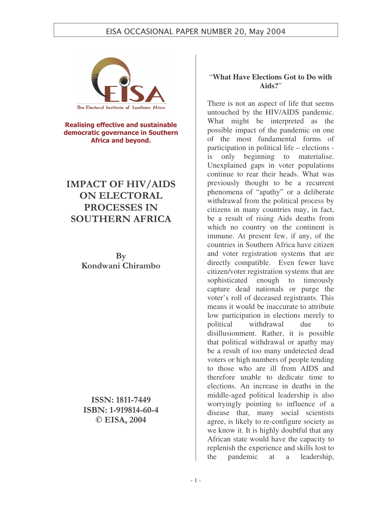

Realising effective and sustainable democratic governance in Southern Africa and beyond.

# IMPACT OF HIV/AIDS **ON ELECTORAL** PROCESSES IN SOUTHERN AFRICA

 $\mathbf{B}\mathbf{v}$ Kondwani Chirambo

ISSN: 1811-7449 ISBN: 1-919814-60-4  $\odot$  EISA, 2004

### "**What Have Elections Got to Do with Aids?**"

There is not an aspect of life that seems untouched by the HIV/AIDS pandemic. What might be interpreted as the possible impact of the pandemic on one of the most fundamental forms of participation in political life – elections is only beginning to materialise. Unexplained gaps in voter populations continue to rear their heads. What was previously thought to be a recurrent phenomena of "apathy" or a deliberate withdrawal from the political process by citizens in many countries may, in fact, be a result of rising Aids deaths from which no country on the continent is immune. At present few, if any, of the countries in Southern Africa have citizen and voter registration systems that are directly compatible. Even fewer have citizen/voter registration systems that are sophisticated enough to timeously capture dead nationals or purge the voter's roll of deceased registrants. This means it would be inaccurate to attribute low participation in elections merely to political withdrawal due to disillusionment. Rather, it is possible that political withdrawal or apathy may be a result of too many undetected dead voters or high numbers of people tending to those who are ill from AIDS and therefore unable to dedicate time to elections. An increase in deaths in the middle-aged political leadership is also worryingly pointing to influence of a disease that, many social scientists agree, is likely to re-configure society as we know it. It is highly doubtful that any African state would have the capacity to replenish the experience and skills lost to the pandemic at a leadership,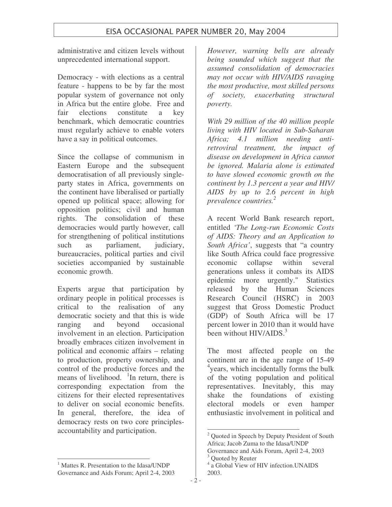administrative and citizen levels without unprecedented international support.

Democracy - with elections as a central feature - happens to be by far the most popular system of governance not only in Africa but the entire globe. Free and fair elections constitute a key benchmark, which democratic countries must regularly achieve to enable voters have a say in political outcomes.

Since the collapse of communism in Eastern Europe and the subsequent democratisation of all previously singleparty states in Africa, governments on the continent have liberalised or partially opened up political space; allowing for opposition politics; civil and human rights. The consolidation of these democracies would partly however, call for strengthening of political institutions such as parliament, judiciary, bureaucracies, political parties and civil societies accompanied by sustainable economic growth.

Experts argue that participation by ordinary people in political processes is critical to the realisation of any democratic society and that this is wide ranging and beyond occasional involvement in an election. Participation broadly embraces citizen involvement in political and economic affairs – relating to production, property ownership, and control of the productive forces and the means of livelihood. <sup>1</sup>In return, there is corresponding expectation from the citizens for their elected representatives to deliver on social economic benefits. In general, therefore, the idea of democracy rests on two core principlesaccountability and participation.

*However, warning bells are already being sounded which suggest that the assumed consolidation of democracies may not occur with HIV/AIDS ravaging the most productive, most skilled persons of society, exacerbating structural poverty.*

*With 29 million of the 40 million people living with HIV located in Sub-Saharan Africa; 4.1 million needing antiretroviral treatment, the impact of disease on development in Africa cannot be ignored. Malaria alone is estimated to have slowed economic growth on the continent by 1.3 percent a year and HIV/ AIDS by up to 2.6 percent in high prevalence countries. 2*

A recent World Bank research report, entitled *'The Long-run Economic Costs of AIDS: Theory and an Application to South Africa'*, suggests that "a country like South Africa could face progressive economic collapse within several generations unless it combats its AIDS epidemic more urgently." Statistics released by the Human Sciences Research Council (HSRC) in 2003 suggest that Gross Domestic Product (GDP) of South Africa will be 17 percent lower in 2010 than it would have been without HIV/AIDS.<sup>3</sup>

The most affected people on the continent are in the age range of 15-49 <sup>4</sup>years, which incidentally forms the bulk of the voting population and political representatives. Inevitably, this may shake the foundations of existing electoral models or even hamper enthusiastic involvement in political and

<sup>&</sup>lt;sup>2</sup> Quoted in Speech by Deputy President of South Africa; Jacob Zuma to the Idasa/UNDP

Governance and Aids Forum, April 2-4, 2003 <sup>3</sup> Quoted by Reuter

<sup>4</sup> a Global View of HIV infection.UNAIDS 2003.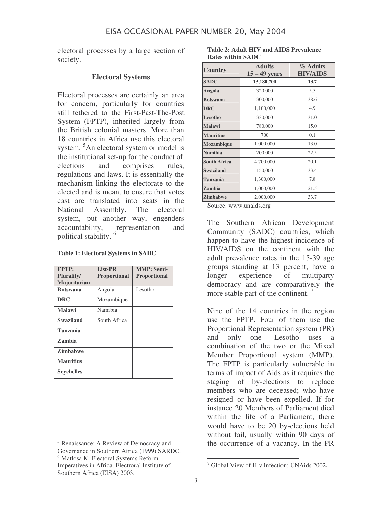electoral processes by a large section of society.

### **Electoral Systems**

Electoral processes are certainly an area for concern, particularly for countries still tethered to the First-Past-The-Post System (FPTP), inherited largely from the British colonial masters. More than 18 countries in Africa use this electoral system. <sup>5</sup>An electoral system or model is the institutional set-up for the conduct of elections and comprises rules, regulations and laws. It is essentially the mechanism linking the electorate to the elected and is meant to ensure that votes cast are translated into seats in the National Assembly. The electoral system, put another way, engenders accountability, representation and political stability. 6

| <b>Table 1: Electoral Systems in SADC</b> |  |  |  |  |  |  |
|-------------------------------------------|--|--|--|--|--|--|
|-------------------------------------------|--|--|--|--|--|--|

| FPTP:             | List-PR             | <b>MMP: Semi-</b>   |
|-------------------|---------------------|---------------------|
| <b>Plurality/</b> | <b>Proportional</b> | <b>Proportional</b> |
| Majoritarian      |                     |                     |
| <b>Botswana</b>   | Angola              | Lesotho             |
| <b>DRC</b>        | Mozambique          |                     |
| <b>Malawi</b>     | Namibia             |                     |
| <b>Swaziland</b>  | South Africa        |                     |
| <b>Tanzania</b>   |                     |                     |
| Zambia            |                     |                     |
| <b>Zimbabwe</b>   |                     |                     |
| <b>Mauritius</b>  |                     |                     |
| <b>Seychelles</b> |                     |                     |

| Table 2: Adult HIV and AIDS Prevalence |  |  |
|----------------------------------------|--|--|
| <b>Rates within SADC</b>               |  |  |

| <b>Country</b>      | <b>Adults</b><br>$15 - 49$ years | % Adults<br><b>HIV/AIDS</b> |
|---------------------|----------------------------------|-----------------------------|
| <b>SADC</b>         | 13,180,700                       | 13.7                        |
| Angola              | 320,000                          | 5.5                         |
| <b>Botswana</b>     | 300,000                          | 38.6                        |
| <b>DRC</b>          | 1,100,000                        | 4.9                         |
| Lesotho             | 330,000                          | 31.0                        |
| <b>Malawi</b>       | 780,000                          | 15.0                        |
| <b>Mauritius</b>    | 700                              | 0.1                         |
| Mozambique          | 1,000,000                        | 13.0                        |
| <b>Namibia</b>      | 200,000                          | 22.5                        |
| <b>South Africa</b> | 4,700,000                        | 20.1                        |
| <b>Swaziland</b>    | 150,000                          | 33.4                        |
| <b>Tanzania</b>     | 1,300,000                        | 7.8                         |
| Zambia              | 1,000,000                        | 21.5                        |
| <b>Zimbabwe</b>     | 2,000,000                        | 33.7                        |

Source: www.unaids.org

The Southern African Development Community (SADC) countries, which happen to have the highest incidence of HIV/AIDS on the continent with the adult prevalence rates in the 15-39 age groups standing at 13 percent, have a longer experience of multiparty democracy and are comparatively the more stable part of the continent.<sup>7</sup>

Nine of the 14 countries in the region use the FPTP. Four of them use the Proportional Representation system (PR) and only one –Lesotho uses a combination of the two or the Mixed Member Proportional system (MMP). The FPTP is particularly vulnerable in terms of impact of Aids as it requires the staging of by-elections to replace members who are deceased; who have resigned or have been expelled. If for instance 20 Members of Parliament died within the life of a Parliament, there would have to be 20 by-elections held without fail, usually within 90 days of the occurrence of a vacancy. In the PR

<sup>5</sup> Renaissance: A Review of Democracy and Governance in Southern Africa (1999) SARDC.

<sup>6</sup> Matlosa K. Electoral Systems Reform Imperatives in Africa. Electroral Institute of Southern Africa (EISA) 2003.

<sup>7</sup> Global View of Hiv Infection: UNAids 2002.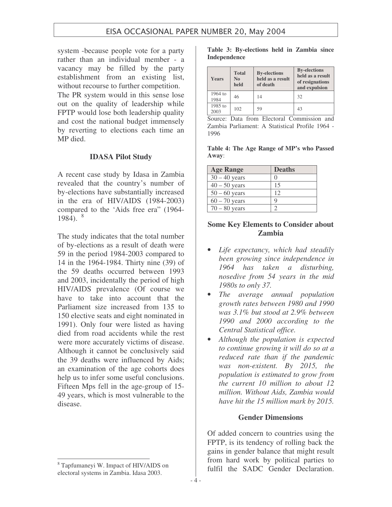system -because people vote for a party rather than an individual member - a vacancy may be filled by the party establishment from an existing list, without recourse to further competition.

The PR system would in this sense lose out on the quality of leadership while FPTP would lose both leadership quality and cost the national budget immensely by reverting to elections each time an MP died.

#### **IDASA Pilot Study**

A recent case study by Idasa in Zambia revealed that the country's number of by-elections have substantially increased in the era of HIV/AIDS (1984-2003) compared to the 'Aids free era" (1964- 1984). 8

The study indicates that the total number of by-elections as a result of death were 59 in the period 1984-2003 compared to 14 in the 1964-1984. Thirty nine (39) of the 59 deaths occurred between 1993 and 2003, incidentally the period of high HIV/AIDS prevalence (Of course we have to take into account that the Parliament size increased from 135 to 150 elective seats and eight nominated in 1991). Only four were listed as having died from road accidents while the rest were more accurately victims of disease. Although it cannot be conclusively said the 39 deaths were influenced by Aids; an examination of the age cohorts does help us to infer some useful conclusions. Fifteen Mps fell in the age-group of 15- 49 years, which is most vulnerable to the disease.

|              | Table 3: By-elections held in Zambia since |  |  |
|--------------|--------------------------------------------|--|--|
| Independence |                                            |  |  |

| <b>Years</b>    | <b>Total</b><br>N <sub>0</sub><br>held | <b>By-elections</b><br>held as a result<br>of death | <b>By-elections</b><br>held as a result<br>of resignations<br>and expulsion |
|-----------------|----------------------------------------|-----------------------------------------------------|-----------------------------------------------------------------------------|
| 1964 to<br>1984 | 46                                     | 14                                                  | 32                                                                          |
| 1985 to<br>2003 | 102                                    | 59                                                  | 43                                                                          |

Source: Data from Electoral Commission and Zambia Parliament: A Statistical Profile 1964 - 1996

**Table 4: The Age Range of MP's who Passed Away**:

| <b>Age Range</b> | <b>Deaths</b> |
|------------------|---------------|
| $30 - 40$ years  |               |
| $40 - 50$ years  | 15            |
| $50 - 60$ years  | 12            |
| $60 - 70$ years  |               |
| $70 - 80$ years  |               |

### **Some Key Elements to Consider about Zambia**

- *Life expectancy, which had steadily been growing since independence in 1964 has taken a disturbing, nosedive from 54 years in the mid 1980s to only 37.*
- *The average annual population growth rates between 1980 and 1990 was 3.1% but stood at 2.9% between 1990 and 2000 according to the Central Statistical office.*
- *Although the population is expected to continue growing it will do so at a reduced rate than if the pandemic was non-existent. By 2015, the population is estimated to grow from the current 10 million to about 12 million. Without Aids, Zambia would have hit the 15 million mark by 2015.*

#### **Gender Dimensions**

Of added concern to countries using the FPTP, is its tendency of rolling back the gains in gender balance that might result from hard work by political parties to fulfil the SADC Gender Declaration.

<sup>8</sup> Tapfumaneyi W. Impact of HIV/AIDS on electoral systems in Zambia. Idasa 2003.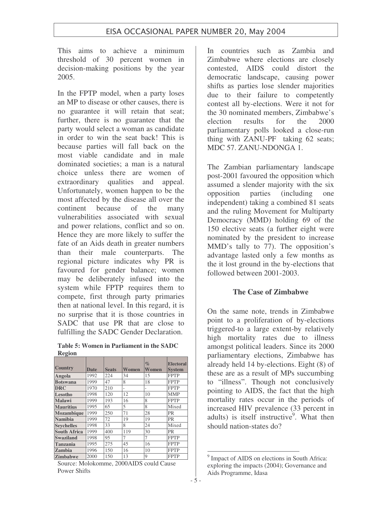This aims to achieve a minimum threshold of 30 percent women in decision-making positions by the year 2005.

In the FPTP model, when a party loses an MP to disease or other causes, there is no guarantee it will retain that seat; further, there is no guarantee that the party would select a woman as candidate in order to win the seat back! This is because parties will fall back on the most viable candidate and in male dominated societies; a man is a natural choice unless there are women of extraordinary qualities and appeal. Unfortunately, women happen to be the most affected by the disease all over the continent because of the many vulnerabilities associated with sexual and power relations, conflict and so on. Hence they are more likely to suffer the fate of an Aids death in greater numbers than their male counterparts. The regional picture indicates why PR is favoured for gender balance; women may be deliberately infused into the system while FPTP requires them to compete, first through party primaries then at national level. In this regard, it is no surprise that it is those countries in SADC that use PR that are close to fulfilling the SADC Gender Declaration.

**Table 5: Women in Parliament in the SADC Region**

| <b>Country</b>      | Date | <b>Seats</b> | Women | $\%$<br>Women | <b>Electoral</b><br><b>System</b> |
|---------------------|------|--------------|-------|---------------|-----------------------------------|
| Angola              | 1992 | 224          | 34    | 15            | <b>FPTP</b>                       |
| <b>Botswana</b>     | 1999 | 47           | 8     | 18            | <b>FPTP</b>                       |
| <b>DRC</b>          | 1970 | 210          |       |               | <b>FPTP</b>                       |
| Lesotho             | 1998 | 120          | 12    | 10            | <b>MMP</b>                        |
| Malawi              | 1999 | 193          | 16    | 8             | <b>FPTP</b>                       |
| <b>Mauritius</b>    | 1995 | 65           | 5     | 8             | Mixed                             |
| <b>Mozambique</b>   | 1999 | 250          | 71    | 28            | <b>PR</b>                         |
| Namibia             | 1999 | 72           | 19    | 19            | <b>PR</b>                         |
| <b>Sevchelles</b>   | 1998 | 33           | 8     | 24            | Mixed                             |
| <b>South Africa</b> | 1999 | 400          | 119   | 30            | <b>PR</b>                         |
| <b>Swaziland</b>    | 1998 | 95           | 7     | 7             | <b>FPTP</b>                       |
| Tanzania            | 1995 | 275          | 45    | 16            | <b>FPTP</b>                       |
| Zambia              | 1996 | 150          | 16    | 10            | <b>FPTP</b>                       |
| Zimbabwe            | 2000 | 150          | 13    | 9             | <b>FPTP</b>                       |

Source: Molokomme, 2000AIDS could Cause Power Shifts

In countries such as Zambia and Zimbabwe where elections are closely contested, AIDS could distort the democratic landscape, causing power shifts as parties lose slender majorities due to their failure to competently contest all by-elections. Were it not for the 30 nominated members, Zimbabwe's election results for the 2000 parliamentary polls looked a close-run thing with ZANU-PF taking 62 seats; MDC 57. ZANU-NDONGA 1.

The Zambian parliamentary landscape post-2001 favoured the opposition which assumed a slender majority with the six opposition parties (including one independent) taking a combined 81 seats and the ruling Movement for Multiparty Democracy (MMD) holding 69 of the 150 elective seats (a further eight were nominated by the president to increase MMD's tally to 77). The opposition's advantage lasted only a few months as the it lost ground in the by-elections that followed between 2001-2003.

### **The Case of Zimbabwe**

On the same note, trends in Zimbabwe point to a proliferation of by-elections triggered-to a large extent-by relatively high mortality rates due to illness amongst political leaders. Since its 2000 parliamentary elections, Zimbabwe has already held 14 by-elections. Eight (8) of these are as a result of MPs succumbing to "illness". Though not conclusively pointing to AIDS, the fact that the high mortality rates occur in the periods of increased HIV prevalence (33 percent in adults) is itself instructive<sup>9</sup>. What then should nation-states do?

<sup>&</sup>lt;sup>9</sup> Impact of AIDS on elections in South Africa: exploring the impacts (2004); Governance and Aids Programme, Idasa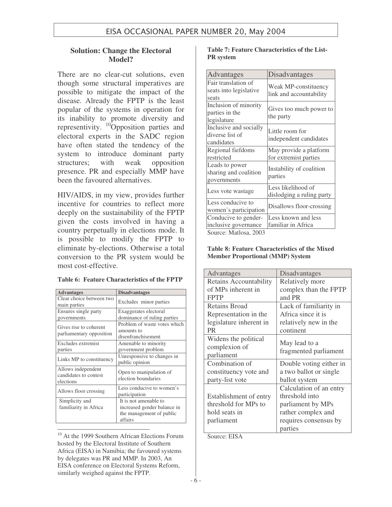### **Solution: Change the Electoral Model?**

There are no clear-cut solutions, even though some structural imperatives are possible to mitigate the impact of the disease. Already the FPTP is the least popular of the systems in operation for its inability to promote diversity and representivity. <sup>10</sup>Opposition parties and electoral experts in the SADC region have often stated the tendency of the system to introduce dominant party structures; with weak opposition presence. PR and especially MMP have been the favoured alternatives.

HIV/AIDS, in my view, provides further incentive for countries to reflect more deeply on the sustainability of the FPTP given the costs involved in having a country perpetually in elections mode. It is possible to modify the FPTP to eliminate by-elections. Otherwise a total conversion to the PR system would be most cost-effective.

|  |  | <b>Table 6: Feature Characteristics of the FPTP</b> |  |  |
|--|--|-----------------------------------------------------|--|--|
|--|--|-----------------------------------------------------|--|--|

| <b>Advantages</b>                                        | <b>Disadvantages</b>                                                                        |
|----------------------------------------------------------|---------------------------------------------------------------------------------------------|
| Clear choice between two<br>main parties                 | Excludes minor parties                                                                      |
| Ensures single party<br>governments                      | Exaggerates electoral<br>dominance of ruling parties                                        |
| Gives rise to coherent<br>parliamentary opposition       | Problem of waste votes which<br>amounts to<br>disenfranchisement                            |
| Excludes extremist<br>parties                            | Amenable to minority<br>government problem                                                  |
| Links MP to constituency                                 | Unresponsive to changes in<br>public opinion                                                |
| Allows independent<br>candidates to contest<br>elections | Open to manipulation of<br>election boundaries                                              |
| Allows floor crossing                                    | Less conducive to women's<br>participation                                                  |
| Simplicity and<br>familiarity in Africa                  | It is not amenable to<br>increased gender balance in<br>the management of public<br>affairs |

<sup>10</sup> At the 1999 Southern African Elections Forum hosted by the Electoral Institute of Southern Africa (EISA) in Namibia; the favoured systems by delegates was PR and MMP. In 2003, An EISA conference on Electoral Systems Reform, similarly weighed against the FPTP.

#### **Table 7: Feature Characteristics of the List-PR system**

| <b>Advantages</b>                                                                                                      | Disadvantages                                   |
|------------------------------------------------------------------------------------------------------------------------|-------------------------------------------------|
| Fair translation of<br>seats into legislative<br>seats                                                                 | Weak MP-constituency<br>link and accountability |
| Inclusion of minority<br>parties in the<br>legislature                                                                 | Gives too much power to<br>the party            |
| Inclusive and socially<br>diverse list of<br>candidates                                                                | Little room for<br>independent candidates       |
| Regional fiefdoms<br>restricted                                                                                        | May provide a platform<br>for extremist parties |
| Leads to power<br>sharing and coalition<br>governments                                                                 | Instability of coalition<br>parties             |
| Less vote wastage                                                                                                      | Less likelihood of<br>dislodging a ruling party |
| Less conducive to<br>women's participation                                                                             | Disallows floor-crossing                        |
| Conducive to gender-<br>inclusive governance<br>$S_{\alpha\alpha\beta\alpha\alpha} M_{\alpha\beta\alpha\alpha} \Omega$ | Less known and less<br>familiar in Africa       |

Source: Matlosa, 2003

#### **Table 8: Feature Characteristics of the Mixed Member Proportional (MMP) System**

| Advantages              | Disadvantages           |
|-------------------------|-------------------------|
| Retains Accountability  | Relatively more         |
| of MPs inherent in      | complex than the FPTP   |
| <b>FPTP</b>             | and PR                  |
| <b>Retains Broad</b>    | Lack of familiarity in  |
|                         | Africa since it is      |
| Representation in the   |                         |
| legislature inherent in | relatively new in the   |
| <b>PR</b>               | continent               |
| Widens the political    |                         |
| complexion of           | May lead to a           |
| parliament              | fragmented parliament   |
| Combination of          | Double voting either in |
| constituency vote and   | a two ballot or single  |
| party-list vote         | ballot system           |
|                         | Calculation of an entry |
| Establishment of entry  | threshold into          |
| threshold for MPs to    | parliament by MPs       |
| hold seats in           | rather complex and      |
| parliament              | requires consensus by   |
|                         | parties                 |

Source: EISA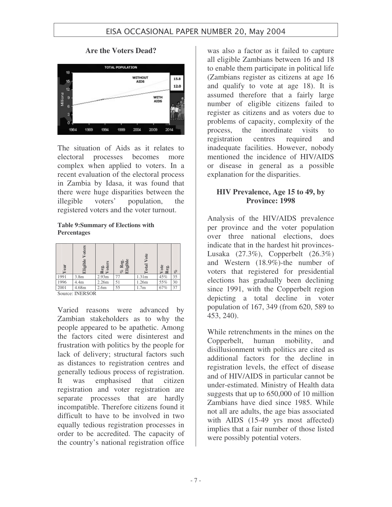

**Are the Voters Dead?**

The situation of Aids as it relates to electoral processes becomes more complex when applied to voters. In a recent evaluation of the electoral process in Zambia by Idasa, it was found that there were huge disparities between the illegible voters' population, the registered voters and the voter turnout.

#### **Table 9:Summary of Elections with Percentages**

| 'ear | Eligible Voters  | ote<br>Reg.<br>Vote | % Reg.<br>Eligible | otal Vote | ote<br>eg.<br>$\sim$ | of |
|------|------------------|---------------------|--------------------|-----------|----------------------|----|
| 1991 | 3.8 <sub>m</sub> | 2.93 <sub>m</sub>   | 77                 | 1.31m     | 45%                  | 35 |
| 1996 | 4.4 <sub>m</sub> | 2.26m               | 51                 | 1.26m     | 55%                  | 30 |
| 2001 | 4.68m            | 2.6m                | 55                 | 1.7m      | 67%                  | 37 |

Source: INERSOR

Varied reasons were advanced by Zambian stakeholders as to why the people appeared to be apathetic. Among the factors cited were disinterest and frustration with politics by the people for lack of delivery; structural factors such as distances to registration centres and generally tedious process of registration. It was emphasised that citizen registration and voter registration are separate processes that are hardly incompatible. Therefore citizens found it difficult to have to be involved in two equally tedious registration processes in order to be accredited. The capacity of the country's national registration office

was also a factor as it failed to capture all eligible Zambians between 16 and 18 to enable them participate in political life (Zambians register as citizens at age 16 and qualify to vote at age 18). It is assumed therefore that a fairly large number of eligible citizens failed to register as citizens and as voters due to problems of capacity, complexity of the process, the inordinate visits to registration centres required and inadequate facilities. However, nobody mentioned the incidence of HIV/AIDS or disease in general as a possible explanation for the disparities.

### **HIV Prevalence, Age 15 to 49, by Province: 1998**

Analysis of the HIV/AIDS prevalence per province and the voter population over three national elections, does indicate that in the hardest hit provinces-Lusaka (27.3%), Copperbelt (26.3%) and Western (18.9%)-the number of voters that registered for presidential elections has gradually been declining since 1991, with the Copperbelt region depicting a total decline in voter population of 167, 349 (from 620, 589 to 453, 240).

While retrenchments in the mines on the Copperbelt, human mobility, and disillusionment with politics are cited as additional factors for the decline in registration levels, the effect of disease and of HIV/AIDS in particular cannot be under-estimated. Ministry of Health data suggests that up to 650,000 of 10 million Zambians have died since 1985. While not all are adults, the age bias associated with AIDS (15-49 yrs most affected) implies that a fair number of those listed were possibly potential voters.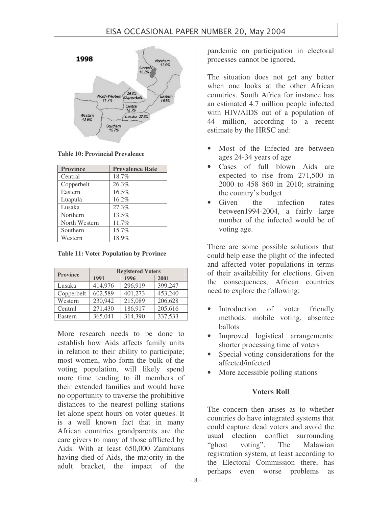

**Table 10: Provincial Prevalence**

| <b>Province</b> | <b>Prevalence Rate</b> |  |  |
|-----------------|------------------------|--|--|
| Central         | 18.7%                  |  |  |
| Copperbelt      | 26.3%                  |  |  |
| Eastern         | 16.5%                  |  |  |
| Luapula         | 16.2%                  |  |  |
| Lusaka          | 27.3%                  |  |  |
| Northern        | 13.5%                  |  |  |
| North Western   | 11.7%                  |  |  |
| Southern        | 15.7%                  |  |  |
| Western         | 18.9%                  |  |  |

**Table 11: Voter Population by Province**

| <b>Province</b> | <b>Registered Voters</b> |         |         |  |  |
|-----------------|--------------------------|---------|---------|--|--|
|                 | 1991                     | 1996    | 2001    |  |  |
| Lusaka          | 414,976                  | 296,919 | 399,247 |  |  |
| Copperbelt      | 602,589                  | 401,273 | 453,240 |  |  |
| Western         | 230,942                  | 215,089 | 206,628 |  |  |
| Central         | 271,430                  | 186,917 | 205,616 |  |  |
| Eastern         | 365,041                  | 314,390 | 337,533 |  |  |

More research needs to be done to establish how Aids affects family units in relation to their ability to participate; most women, who form the bulk of the voting population, will likely spend more time tending to ill members of their extended families and would have no opportunity to traverse the prohibitive distances to the nearest polling stations let alone spent hours on voter queues. It is a well known fact that in many African countries grandparents are the care givers to many of those afflicted by Aids. With at least 650,000 Zambians having died of Aids, the majority in the adult bracket, the impact of the

pandemic on participation in electoral processes cannot be ignored.

The situation does not get any better when one looks at the other African countries. South Africa for instance has an estimated 4.7 million people infected with HIV/AIDS out of a population of 44 million, according to a recent estimate by the HRSC and:

- Most of the Infected are between ages 24-34 years of age
- Cases of full blown Aids are expected to rise from 271,500 in 2000 to 458 860 in 2010; straining the country's budget
- Given the infection rates between1994-2004, a fairly large number of the infected would be of voting age.

There are some possible solutions that could help ease the plight of the infected and affected voter populations in terms of their availability for elections. Given the consequences, African countries need to explore the following:

- Introduction of voter friendly methods: mobile voting, absentee ballots
- Improved logistical arrangements: shorter processing time of voters
- Special voting considerations for the affected/infected
- More accessible polling stations

### **Voters Roll**

The concern then arises as to whether countries do have integrated systems that could capture dead voters and avoid the usual election conflict surrounding "ghost voting". The Malawian registration system, at least according to the Electoral Commission there, has perhaps even worse problems as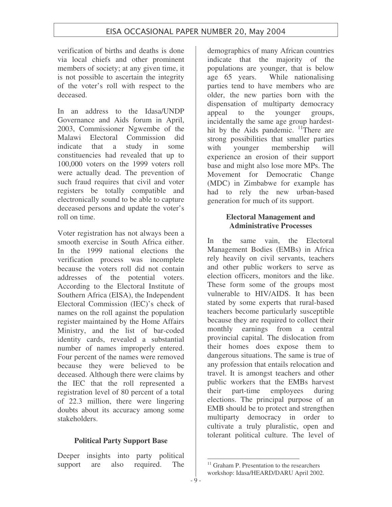verification of births and deaths is done via local chiefs and other prominent members of society; at any given time, it is not possible to ascertain the integrity of the voter's roll with respect to the deceased.

In an address to the Idasa/UNDP Governance and Aids forum in April, 2003, Commissioner Ngwembe of the Malawi Electoral Commission did indicate that a study in some constituencies had revealed that up to 100,000 voters on the 1999 voters roll were actually dead. The prevention of such fraud requires that civil and voter registers be totally compatible and electronically sound to be able to capture deceased persons and update the voter's roll on time.

Voter registration has not always been a smooth exercise in South Africa either. In the 1999 national elections the verification process was incomplete because the voters roll did not contain addresses of the potential voters. According to the Electoral Institute of Southern Africa (EISA), the Independent Electoral Commission (IEC)'s check of names on the roll against the population register maintained by the Home Affairs Ministry, and the list of bar-coded identity cards, revealed a substantial number of names improperly entered. Four percent of the names were removed because they were believed to be deceased. Although there were claims by the IEC that the roll represented a registration level of 80 percent of a total of 22.3 million, there were lingering doubts about its accuracy among some stakeholders.

### **Political Party Support Base**

Deeper insights into party political support are also required. The

demographics of many African countries indicate that the majority of the populations are younger, that is below age 65 years. While nationalising parties tend to have members who are older, the new parties born with the dispensation of multiparty democracy appeal to the younger groups, incidentally the same age group hardesthit by the Aids pandemic. <sup>11</sup>There are strong possibilities that smaller parties with younger membership will experience an erosion of their support base and might also lose more MPs. The Movement for Democratic Change (MDC) in Zimbabwe for example has had to rely the new urban-based generation for much of its support.

### **Electoral Management and Administrative Processes**

In the same vain, the Electoral Management Bodies (EMBs) in Africa rely heavily on civil servants, teachers and other public workers to serve as election officers, monitors and the like. These form some of the groups most vulnerable to HIV/AIDS. It has been stated by some experts that rural-based teachers become particularly susceptible because they are required to collect their monthly earnings from a central provincial capital. The dislocation from their homes does expose them to dangerous situations. The same is true of any profession that entails relocation and travel. It is amongst teachers and other public workers that the EMBs harvest their part-time employees during elections. The principal purpose of an EMB should be to protect and strengthen multiparty democracy in order to cultivate a truly pluralistic, open and tolerant political culture. The level of

<sup>&</sup>lt;sup>11</sup> Graham P. Presentation to the researchers workshop: Idasa/HEARD/DARU April 2002.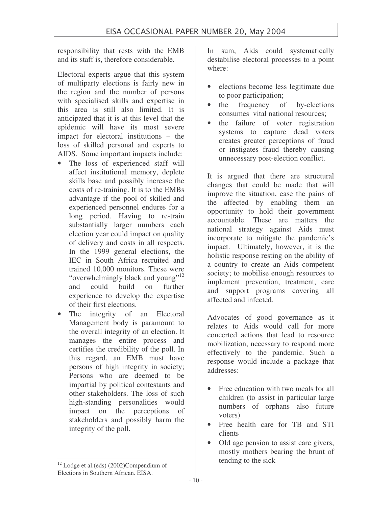responsibility that rests with the EMB and its staff is, therefore considerable.

Electoral experts argue that this system of multiparty elections is fairly new in the region and the number of persons with specialised skills and expertise in this area is still also limited. It is anticipated that it is at this level that the epidemic will have its most severe impact for electoral institutions – the loss of skilled personal and experts to AIDS. Some important impacts include:

- The loss of experienced staff will affect institutional memory, deplete skills base and possibly increase the costs of re-training. It is to the EMBs advantage if the pool of skilled and experienced personnel endures for a long period. Having to re-train substantially larger numbers each election year could impact on quality of delivery and costs in all respects. In the 1999 general elections, the IEC in South Africa recruited and trained 10,000 monitors. These were "overwhelmingly black and young"<sup>12</sup> and could build on further experience to develop the expertise of their first elections.
- The integrity of an Electoral Management body is paramount to the overall integrity of an election. It manages the entire process and certifies the credibility of the poll. In this regard, an EMB must have persons of high integrity in society; Persons who are deemed to be impartial by political contestants and other stakeholders. The loss of such high-standing personalities would impact on the perceptions of stakeholders and possibly harm the integrity of the poll.

destabilise electoral processes to a point where:

• elections become less legitimate due to poor participation;

In sum, Aids could systematically

- the frequency of by-elections consumes vital national resources;
- the failure of voter registration systems to capture dead voters creates greater perceptions of fraud or instigates fraud thereby causing unnecessary post-election conflict.

It is argued that there are structural changes that could be made that will improve the situation, ease the pains of the affected by enabling them an opportunity to hold their government accountable. These are matters the national strategy against Aids must incorporate to mitigate the pandemic's impact. Ultimately, however, it is the holistic response resting on the ability of a country to create an Aids competent society; to mobilise enough resources to implement prevention, treatment, care and support programs covering all affected and infected.

Advocates of good governance as it relates to Aids would call for more concerted actions that lead to resource mobilization, necessary to respond more effectively to the pandemic. Such a response would include a package that addresses:

- Free education with two meals for all children (to assist in particular large numbers of orphans also future voters)
- Free health care for TB and STI clients
- Old age pension to assist care givers, mostly mothers bearing the brunt of tending to the sick

<sup>12</sup> Lodge et al.(eds) (2002)Compendium of Elections in Southern African. EISA.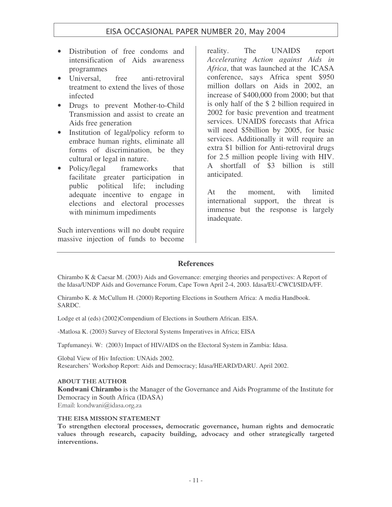- Distribution of free condoms and intensification of Aids awareness programmes
- Universal, free anti-retroviral treatment to extend the lives of those infected
- Drugs to prevent Mother-to-Child Transmission and assist to create an Aids free generation
- Institution of legal/policy reform to embrace human rights, eliminate all forms of discrimination, be they cultural or legal in nature.
- Policy/legal frameworks that facilitate greater participation in public political life; including adequate incentive to engage in elections and electoral processes with minimum impediments

Such interventions will no doubt require massive injection of funds to become

reality. The UNAIDS report *Accelerating Action against Aids in Africa*, that was launched at the ICASA conference, says Africa spent \$950 million dollars on Aids in 2002, an increase of \$400,000 from 2000; but that is only half of the \$ 2 billion required in 2002 for basic prevention and treatment services. UNAIDS forecasts that Africa will need \$5billion by 2005, for basic services. Additionally it will require an extra \$1 billion for Anti-retroviral drugs for 2.5 million people living with HIV. A shortfall of \$3 billion is still anticipated.

At the moment, with limited international support, the threat is immense but the response is largely inadequate.

### **References**

Chirambo K & Caesar M. (2003) Aids and Governance: emerging theories and perspectives: A Report of the Idasa/UNDP Aids and Governance Forum, Cape Town April 2-4, 2003. Idasa/EU-CWCI/SIDA/FF.

Chirambo K. & McCullum H. (2000) Reporting Elections in Southern Africa: A media Handbook. SARDC.

Lodge et al (eds) (2002)Compendium of Elections in Southern African. EISA.

-Matlosa K. (2003) Survey of Electoral Systems Imperatives in Africa; EISA

Tapfumaneyi. W: (2003) Impact of HIV/AIDS on the Electoral System in Zambia: Idasa.

Global View of Hiv Infection: UNAids 2002. Researchers' Workshop Report: Aids and Democracy; Idasa/HEARD/DARU. April 2002.

#### **ABOUT THE AUTHOR**

**Kondwani Chirambo** is the Manager of the Governance and Aids Programme of the Institute for Democracy in South Africa (IDASA)

Email: kondwani@idasa.org.za

#### THE EISA MISSION STATEMENT

To strengthen electoral processes, democratic governance, human rights and democratic values through research, capacity building, advocacy and other strategically targeted interventions.